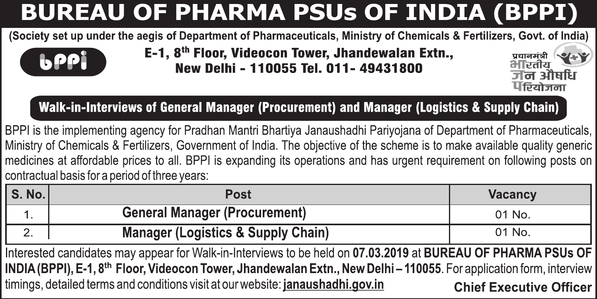#### **BUREAU OF PHARMA PSUs OF INDIA (BPPI)**

(Society set up under the aegis of Department of Pharmaceuticals, Ministry of Chemicals & Fertilizers, Goyt, of India)



E-1. 8th Floor. Videocon Tower. Jhandewalan Extn.. New Delhi - 110055 Tel. 011- 49431800



Walk-in-Interviews of General Manager (Procurement) and Manager (Logistics & Supply Chain)

BPPI is the implementing agency for Pradhan Mantri Bhartiva Janaushadhi Parivoiana of Department of Pharmaceuticals. Ministry of Chemicals & Fertilizers. Government of India. The objective of the scheme is to make available quality generic medicines at affordable prices to all. BPPI is expanding its operations and has urgent requirement on following posts on contractual basis for a period of three years:

| l S. No. l                                                                                                                       | Post                                                                            | Vacancy                        |  |  |  |
|----------------------------------------------------------------------------------------------------------------------------------|---------------------------------------------------------------------------------|--------------------------------|--|--|--|
| 1.                                                                                                                               | <b>General Manager (Procurement)</b>                                            | $01$ No.                       |  |  |  |
| 2.                                                                                                                               | Manager (Logistics & Supply Chain)                                              | 01 No.                         |  |  |  |
| Interested candidates may appear for Walk-in-Interviews to be held on 07.03.2019 at BUREAU OF PHARMA PSUs OF                     |                                                                                 |                                |  |  |  |
| INDIA (BPPI), E-1, 8 <sup>th</sup> Floor, Videocon Tower, Jhandewalan Extn., New Delhi - 110055. For application form, interview |                                                                                 |                                |  |  |  |
|                                                                                                                                  | timings, detailed terms and conditions visit at our website: janaushadhi.gov.in | <b>Chief Executive Officer</b> |  |  |  |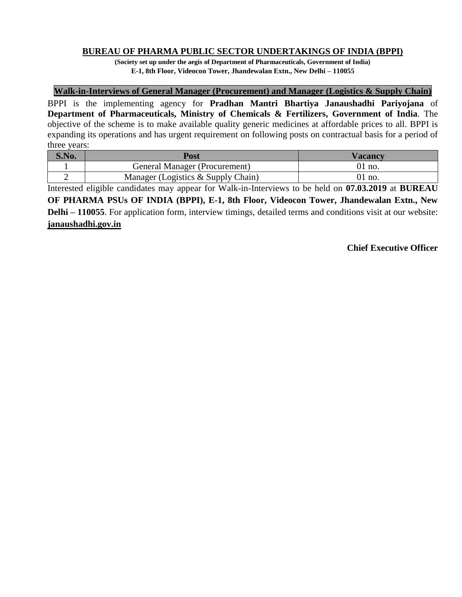## **BUREAU OF PHARMA PUBLIC SECTOR UNDERTAKINGS OF INDIA (BPPI)**

**(Society set up under the aegis of Department of Pharmaceuticals, Government of India) E-1, 8th Floor, Videocon Tower, Jhandewalan Extn., New Delhi – 110055**

#### **Walk-in-Interviews of General Manager (Procurement) and Manager (Logistics & Supply Chain)**

BPPI is the implementing agency for **Pradhan Mantri Bhartiya Janaushadhi Pariyojana** of **Department of Pharmaceuticals, Ministry of Chemicals & Fertilizers, Government of India**. The objective of the scheme is to make available quality generic medicines at affordable prices to all. BPPI is expanding its operations and has urgent requirement on following posts on contractual basis for a period of three years:

| S.No. | Post                               | Vacancv  |
|-------|------------------------------------|----------|
|       | General Manager (Procurement)      | $01$ no. |
|       | Manager (Logistics & Supply Chain) | $91$ no. |

Interested eligible candidates may appear for Walk-in-Interviews to be held on **07.03.2019** at **BUREAU OF PHARMA PSUs OF INDIA (BPPI), E-1, 8th Floor, Videocon Tower, Jhandewalan Extn., New Delhi** – 110055. For application form, interview timings, detailed terms and conditions visit at our website: **janaushadhi.gov.in**

## **Chief Executive Officer**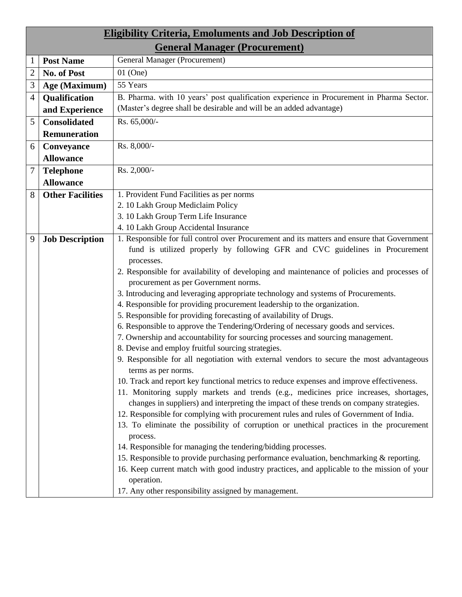| <b>Eligibility Criteria, Emoluments and Job Description of</b>                                                              |  |  |  |  |  |  |
|-----------------------------------------------------------------------------------------------------------------------------|--|--|--|--|--|--|
| <b>General Manager (Procurement)</b>                                                                                        |  |  |  |  |  |  |
| <b>General Manager (Procurement)</b><br><b>Post Name</b>                                                                    |  |  |  |  |  |  |
| No. of Post<br>$01$ (One)<br>$\overline{2}$                                                                                 |  |  |  |  |  |  |
| 55 Years<br>3<br>Age (Maximum)                                                                                              |  |  |  |  |  |  |
| B. Pharma. with 10 years' post qualification experience in Procurement in Pharma Sector.<br>Qualification<br>$\overline{4}$ |  |  |  |  |  |  |
| (Master's degree shall be desirable and will be an added advantage)<br>and Experience                                       |  |  |  |  |  |  |
| Rs. 65,000/-<br>5<br><b>Consolidated</b>                                                                                    |  |  |  |  |  |  |
| <b>Remuneration</b>                                                                                                         |  |  |  |  |  |  |
| Rs. 8,000/-<br>6<br>Conveyance                                                                                              |  |  |  |  |  |  |
| <b>Allowance</b>                                                                                                            |  |  |  |  |  |  |
| $\overline{7}$<br>Rs. 2,000/-<br><b>Telephone</b>                                                                           |  |  |  |  |  |  |
| <b>Allowance</b>                                                                                                            |  |  |  |  |  |  |
| 1. Provident Fund Facilities as per norms<br>8<br><b>Other Facilities</b>                                                   |  |  |  |  |  |  |
| 2. 10 Lakh Group Mediclaim Policy                                                                                           |  |  |  |  |  |  |
| 3. 10 Lakh Group Term Life Insurance                                                                                        |  |  |  |  |  |  |
| 4. 10 Lakh Group Accidental Insurance                                                                                       |  |  |  |  |  |  |
| 1. Responsible for full control over Procurement and its matters and ensure that Government<br><b>Job Description</b><br>9  |  |  |  |  |  |  |
| fund is utilized properly by following GFR and CVC guidelines in Procurement                                                |  |  |  |  |  |  |
| processes.                                                                                                                  |  |  |  |  |  |  |
| 2. Responsible for availability of developing and maintenance of policies and processes of                                  |  |  |  |  |  |  |
| procurement as per Government norms.                                                                                        |  |  |  |  |  |  |
| 3. Introducing and leveraging appropriate technology and systems of Procurements.                                           |  |  |  |  |  |  |
| 4. Responsible for providing procurement leadership to the organization.                                                    |  |  |  |  |  |  |
| 5. Responsible for providing forecasting of availability of Drugs.                                                          |  |  |  |  |  |  |
| 6. Responsible to approve the Tendering/Ordering of necessary goods and services.                                           |  |  |  |  |  |  |
| 7. Ownership and accountability for sourcing processes and sourcing management.                                             |  |  |  |  |  |  |
| 8. Devise and employ fruitful sourcing strategies.                                                                          |  |  |  |  |  |  |
| 9. Responsible for all negotiation with external vendors to secure the most advantageous                                    |  |  |  |  |  |  |
| terms as per norms.                                                                                                         |  |  |  |  |  |  |
| 10. Track and report key functional metrics to reduce expenses and improve effectiveness.                                   |  |  |  |  |  |  |
| 11. Monitoring supply markets and trends (e.g., medicines price increases, shortages,                                       |  |  |  |  |  |  |
| changes in suppliers) and interpreting the impact of these trends on company strategies.                                    |  |  |  |  |  |  |
| 12. Responsible for complying with procurement rules and rules of Government of India.                                      |  |  |  |  |  |  |
| 13. To eliminate the possibility of corruption or unethical practices in the procurement<br>process.                        |  |  |  |  |  |  |
| 14. Responsible for managing the tendering/bidding processes.                                                               |  |  |  |  |  |  |
| 15. Responsible to provide purchasing performance evaluation, benchmarking $\&$ reporting.                                  |  |  |  |  |  |  |
| 16. Keep current match with good industry practices, and applicable to the mission of your                                  |  |  |  |  |  |  |
| operation.                                                                                                                  |  |  |  |  |  |  |
| 17. Any other responsibility assigned by management.                                                                        |  |  |  |  |  |  |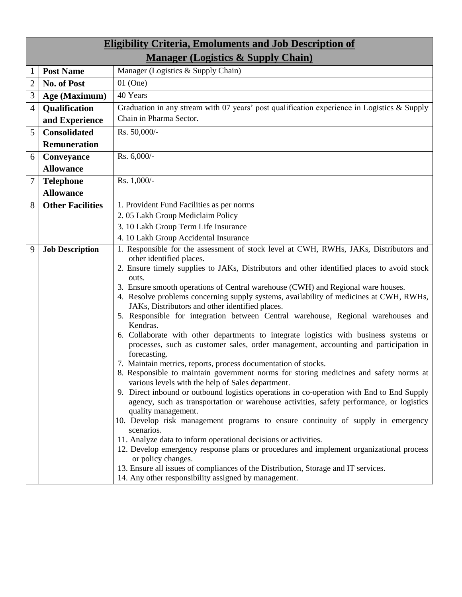|                | <b>Eligibility Criteria, Emoluments and Job Description of</b> |                                                                                                                                                                                                                                                                                                                                                                                                                                                                                                                                                                                                                                                                                                                                                                                                                                                                                                                                                                                                                                                                                                                                                                                                                                                                                                                                                                                                                                                                                   |  |  |  |  |  |
|----------------|----------------------------------------------------------------|-----------------------------------------------------------------------------------------------------------------------------------------------------------------------------------------------------------------------------------------------------------------------------------------------------------------------------------------------------------------------------------------------------------------------------------------------------------------------------------------------------------------------------------------------------------------------------------------------------------------------------------------------------------------------------------------------------------------------------------------------------------------------------------------------------------------------------------------------------------------------------------------------------------------------------------------------------------------------------------------------------------------------------------------------------------------------------------------------------------------------------------------------------------------------------------------------------------------------------------------------------------------------------------------------------------------------------------------------------------------------------------------------------------------------------------------------------------------------------------|--|--|--|--|--|
|                | <b>Manager (Logistics &amp; Supply Chain)</b>                  |                                                                                                                                                                                                                                                                                                                                                                                                                                                                                                                                                                                                                                                                                                                                                                                                                                                                                                                                                                                                                                                                                                                                                                                                                                                                                                                                                                                                                                                                                   |  |  |  |  |  |
|                | <b>Post Name</b>                                               | Manager (Logistics & Supply Chain)                                                                                                                                                                                                                                                                                                                                                                                                                                                                                                                                                                                                                                                                                                                                                                                                                                                                                                                                                                                                                                                                                                                                                                                                                                                                                                                                                                                                                                                |  |  |  |  |  |
| $\overline{2}$ | No. of Post                                                    | $01$ (One)                                                                                                                                                                                                                                                                                                                                                                                                                                                                                                                                                                                                                                                                                                                                                                                                                                                                                                                                                                                                                                                                                                                                                                                                                                                                                                                                                                                                                                                                        |  |  |  |  |  |
| 3              | Age (Maximum)                                                  | 40 Years                                                                                                                                                                                                                                                                                                                                                                                                                                                                                                                                                                                                                                                                                                                                                                                                                                                                                                                                                                                                                                                                                                                                                                                                                                                                                                                                                                                                                                                                          |  |  |  |  |  |
| 4              | <b>Qualification</b>                                           | Graduation in any stream with 07 years' post qualification experience in Logistics $\&$ Supply                                                                                                                                                                                                                                                                                                                                                                                                                                                                                                                                                                                                                                                                                                                                                                                                                                                                                                                                                                                                                                                                                                                                                                                                                                                                                                                                                                                    |  |  |  |  |  |
|                | and Experience                                                 | Chain in Pharma Sector.                                                                                                                                                                                                                                                                                                                                                                                                                                                                                                                                                                                                                                                                                                                                                                                                                                                                                                                                                                                                                                                                                                                                                                                                                                                                                                                                                                                                                                                           |  |  |  |  |  |
| 5              | <b>Consolidated</b>                                            | Rs. 50,000/-                                                                                                                                                                                                                                                                                                                                                                                                                                                                                                                                                                                                                                                                                                                                                                                                                                                                                                                                                                                                                                                                                                                                                                                                                                                                                                                                                                                                                                                                      |  |  |  |  |  |
|                | <b>Remuneration</b>                                            |                                                                                                                                                                                                                                                                                                                                                                                                                                                                                                                                                                                                                                                                                                                                                                                                                                                                                                                                                                                                                                                                                                                                                                                                                                                                                                                                                                                                                                                                                   |  |  |  |  |  |
| 6              | Conveyance                                                     | Rs. 6,000/-                                                                                                                                                                                                                                                                                                                                                                                                                                                                                                                                                                                                                                                                                                                                                                                                                                                                                                                                                                                                                                                                                                                                                                                                                                                                                                                                                                                                                                                                       |  |  |  |  |  |
|                | <b>Allowance</b>                                               |                                                                                                                                                                                                                                                                                                                                                                                                                                                                                                                                                                                                                                                                                                                                                                                                                                                                                                                                                                                                                                                                                                                                                                                                                                                                                                                                                                                                                                                                                   |  |  |  |  |  |
| 7              | <b>Telephone</b>                                               | Rs. 1,000/-                                                                                                                                                                                                                                                                                                                                                                                                                                                                                                                                                                                                                                                                                                                                                                                                                                                                                                                                                                                                                                                                                                                                                                                                                                                                                                                                                                                                                                                                       |  |  |  |  |  |
|                | <b>Allowance</b>                                               |                                                                                                                                                                                                                                                                                                                                                                                                                                                                                                                                                                                                                                                                                                                                                                                                                                                                                                                                                                                                                                                                                                                                                                                                                                                                                                                                                                                                                                                                                   |  |  |  |  |  |
| 8              | <b>Other Facilities</b>                                        | 1. Provident Fund Facilities as per norms                                                                                                                                                                                                                                                                                                                                                                                                                                                                                                                                                                                                                                                                                                                                                                                                                                                                                                                                                                                                                                                                                                                                                                                                                                                                                                                                                                                                                                         |  |  |  |  |  |
|                |                                                                | 2.05 Lakh Group Mediclaim Policy                                                                                                                                                                                                                                                                                                                                                                                                                                                                                                                                                                                                                                                                                                                                                                                                                                                                                                                                                                                                                                                                                                                                                                                                                                                                                                                                                                                                                                                  |  |  |  |  |  |
|                |                                                                | 3. 10 Lakh Group Term Life Insurance                                                                                                                                                                                                                                                                                                                                                                                                                                                                                                                                                                                                                                                                                                                                                                                                                                                                                                                                                                                                                                                                                                                                                                                                                                                                                                                                                                                                                                              |  |  |  |  |  |
|                |                                                                | 4. 10 Lakh Group Accidental Insurance                                                                                                                                                                                                                                                                                                                                                                                                                                                                                                                                                                                                                                                                                                                                                                                                                                                                                                                                                                                                                                                                                                                                                                                                                                                                                                                                                                                                                                             |  |  |  |  |  |
| 9              | <b>Job Description</b>                                         | 1. Responsible for the assessment of stock level at CWH, RWHs, JAKs, Distributors and<br>other identified places.<br>2. Ensure timely supplies to JAKs, Distributors and other identified places to avoid stock<br>outs.<br>3. Ensure smooth operations of Central warehouse (CWH) and Regional ware houses.<br>4. Resolve problems concerning supply systems, availability of medicines at CWH, RWHs,<br>JAKs, Distributors and other identified places.<br>5. Responsible for integration between Central warehouse, Regional warehouses and<br>Kendras.<br>6. Collaborate with other departments to integrate logistics with business systems or<br>processes, such as customer sales, order management, accounting and participation in<br>forecasting.<br>7. Maintain metrics, reports, process documentation of stocks.<br>8. Responsible to maintain government norms for storing medicines and safety norms at<br>various levels with the help of Sales department.<br>9. Direct inbound or outbound logistics operations in co-operation with End to End Supply<br>agency, such as transportation or warehouse activities, safety performance, or logistics<br>quality management.<br>10. Develop risk management programs to ensure continuity of supply in emergency<br>scenarios.<br>11. Analyze data to inform operational decisions or activities.<br>12. Develop emergency response plans or procedures and implement organizational process<br>or policy changes. |  |  |  |  |  |
|                |                                                                | 13. Ensure all issues of compliances of the Distribution, Storage and IT services.<br>14. Any other responsibility assigned by management.                                                                                                                                                                                                                                                                                                                                                                                                                                                                                                                                                                                                                                                                                                                                                                                                                                                                                                                                                                                                                                                                                                                                                                                                                                                                                                                                        |  |  |  |  |  |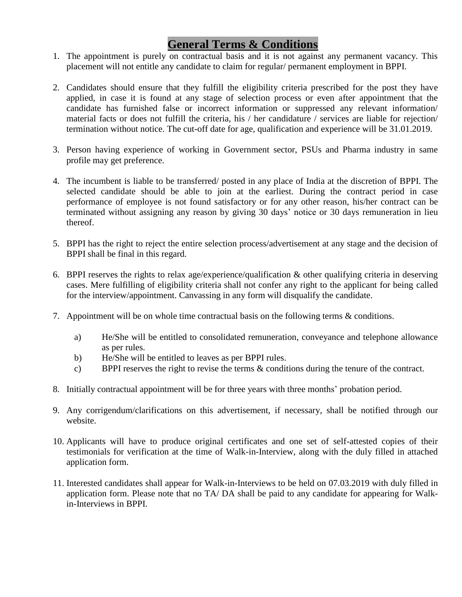## **General Terms & Conditions**

- 1. The appointment is purely on contractual basis and it is not against any permanent vacancy. This placement will not entitle any candidate to claim for regular/ permanent employment in BPPI.
- 2. Candidates should ensure that they fulfill the eligibility criteria prescribed for the post they have applied, in case it is found at any stage of selection process or even after appointment that the candidate has furnished false or incorrect information or suppressed any relevant information/ material facts or does not fulfill the criteria, his / her candidature / services are liable for rejection/ termination without notice. The cut-off date for age, qualification and experience will be 31.01.2019.
- 3. Person having experience of working in Government sector, PSUs and Pharma industry in same profile may get preference.
- 4. The incumbent is liable to be transferred/ posted in any place of India at the discretion of BPPI. The selected candidate should be able to join at the earliest. During the contract period in case performance of employee is not found satisfactory or for any other reason, his/her contract can be terminated without assigning any reason by giving 30 days' notice or 30 days remuneration in lieu thereof.
- 5. BPPI has the right to reject the entire selection process/advertisement at any stage and the decision of BPPI shall be final in this regard.
- 6. BPPI reserves the rights to relax age/experience/qualification & other qualifying criteria in deserving cases. Mere fulfilling of eligibility criteria shall not confer any right to the applicant for being called for the interview/appointment. Canvassing in any form will disqualify the candidate.
- 7. Appointment will be on whole time contractual basis on the following terms & conditions.
	- a) He/She will be entitled to consolidated remuneration, conveyance and telephone allowance as per rules.
	- b) He/She will be entitled to leaves as per BPPI rules.
	- c) BPPI reserves the right to revise the terms & conditions during the tenure of the contract.
- 8. Initially contractual appointment will be for three years with three months' probation period.
- 9. Any corrigendum/clarifications on this advertisement, if necessary, shall be notified through our website.
- 10. Applicants will have to produce original certificates and one set of self-attested copies of their testimonials for verification at the time of Walk-in-Interview, along with the duly filled in attached application form.
- 11. Interested candidates shall appear for Walk-in-Interviews to be held on 07.03.2019 with duly filled in application form. Please note that no TA/ DA shall be paid to any candidate for appearing for Walkin-Interviews in BPPI.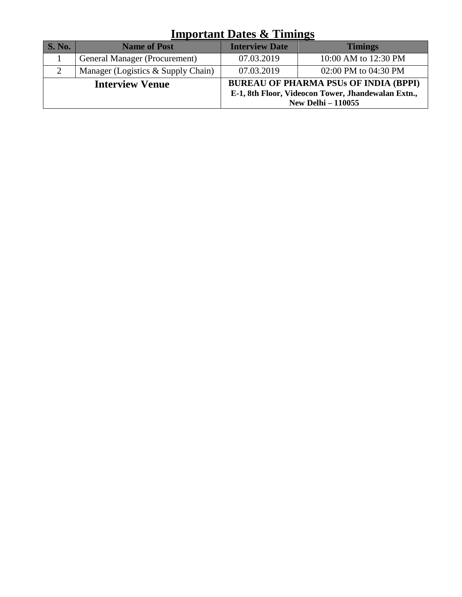# **Important Dates & Timings**

| <b>S. No.</b> | <b>Name of Post</b>                  | <b>Interview Date</b>                                                                                                           | <b>Timings</b>       |  |
|---------------|--------------------------------------|---------------------------------------------------------------------------------------------------------------------------------|----------------------|--|
|               | General Manager (Procurement)        | 07.03.2019                                                                                                                      | 10:00 AM to 12:30 PM |  |
| $\mathcal{D}$ | Manager (Logistics $&$ Supply Chain) | 07.03.2019                                                                                                                      | 02:00 PM to 04:30 PM |  |
|               | <b>Interview Venue</b>               | <b>BUREAU OF PHARMA PSUs OF INDIA (BPPI)</b><br>E-1, 8th Floor, Videocon Tower, Jhandewalan Extn.,<br><b>New Delhi - 110055</b> |                      |  |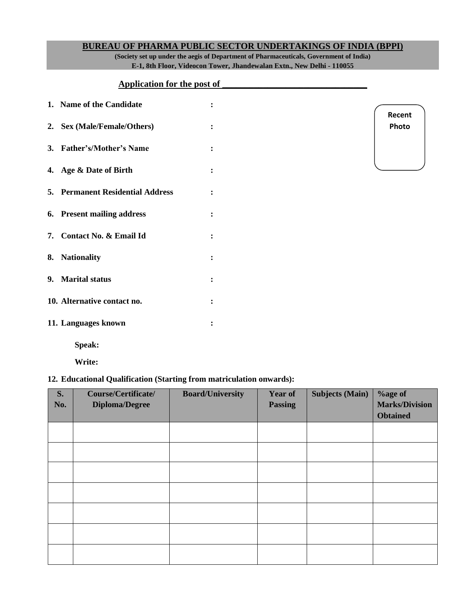#### **BUREAU OF PHARMA PUBLIC SECTOR UNDERTAKINGS OF INDIA (BPPI)**

**(Society set up under the aegis of Department of Pharmaceuticals, Government of India) E-1, 8th Floor, Videocon Tower, Jhandewalan Extn., New Delhi - 110055**

## **Application for the post of \_\_\_\_\_\_\_\_\_\_\_\_\_\_\_\_\_\_\_\_\_\_\_\_\_\_\_\_\_\_\_\_**

| 1. Name of the Candidate                |                |
|-----------------------------------------|----------------|
| 2. Sex (Male/Female/Others)             |                |
| 3. Father's/Mother's Name               | ٠              |
| 4. Age & Date of Birth                  |                |
| <b>5. Permanent Residential Address</b> | $\ddot{\cdot}$ |
| 6. Present mailing address              | $\ddot{\cdot}$ |
| 7. Contact No. & Email Id               |                |
| 8. Nationality                          |                |
| 9. Marital status                       |                |
| 10. Alternative contact no.             | ٠              |
| 11. Languages known                     |                |

**Recent Photo**

**Speak:**

**Write:**

## **12. Educational Qualification (Starting from matriculation onwards):**

| S.  | Course/Certificate/   | <b>Board/University</b> | Year of        | <b>Subjects (Main)</b> | %age of               |
|-----|-----------------------|-------------------------|----------------|------------------------|-----------------------|
| No. | <b>Diploma/Degree</b> |                         | <b>Passing</b> |                        | <b>Marks/Division</b> |
|     |                       |                         |                |                        | <b>Obtained</b>       |
|     |                       |                         |                |                        |                       |
|     |                       |                         |                |                        |                       |
|     |                       |                         |                |                        |                       |
|     |                       |                         |                |                        |                       |
|     |                       |                         |                |                        |                       |
|     |                       |                         |                |                        |                       |
|     |                       |                         |                |                        |                       |
|     |                       |                         |                |                        |                       |
|     |                       |                         |                |                        |                       |
|     |                       |                         |                |                        |                       |
|     |                       |                         |                |                        |                       |
|     |                       |                         |                |                        |                       |
|     |                       |                         |                |                        |                       |
|     |                       |                         |                |                        |                       |